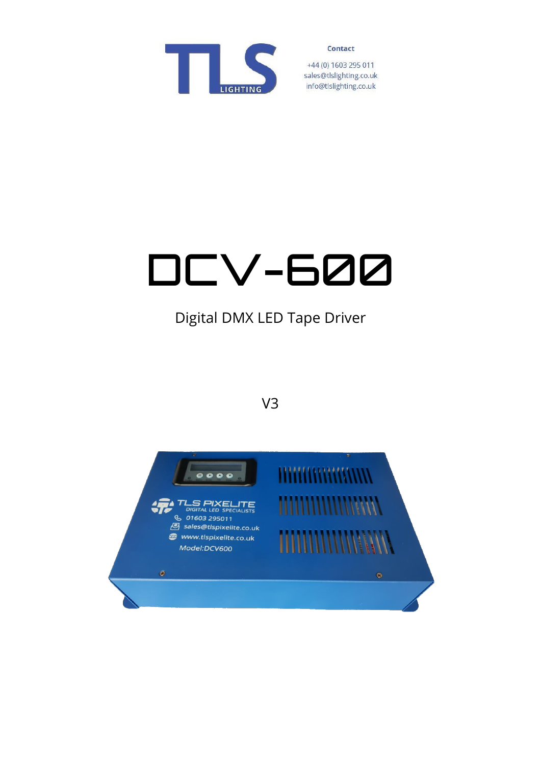

+44 (0) 1603 295 011 sales@tlslighting.co.uk info@tlslighting.co.uk

# DCV-600

# Digital DMX LED Tape Driver

# V3

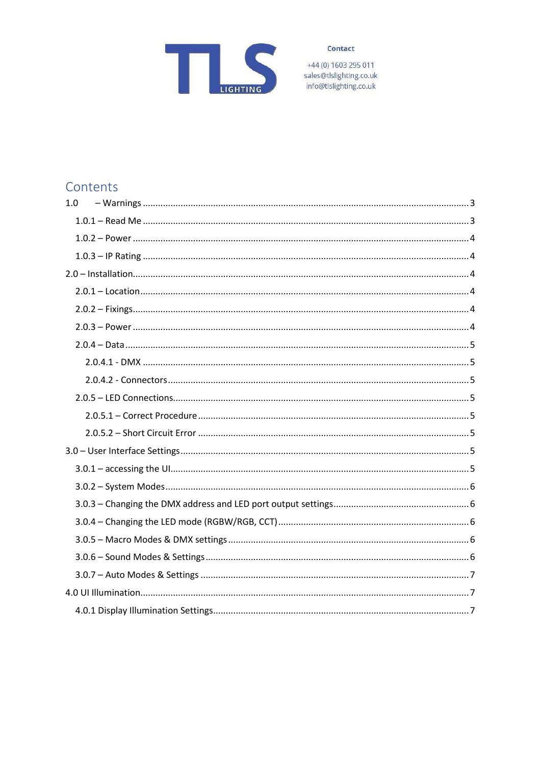

+44 (0) 1603 295 011<br>sales@tlslighting.co.uk<br>info@tlslighting.co.uk

# Contents

| 1.0 |  |
|-----|--|
|     |  |
|     |  |
|     |  |
|     |  |
|     |  |
|     |  |
|     |  |
|     |  |
|     |  |
|     |  |
|     |  |
|     |  |
|     |  |
|     |  |
|     |  |
|     |  |
|     |  |
|     |  |
|     |  |
|     |  |
|     |  |
|     |  |
|     |  |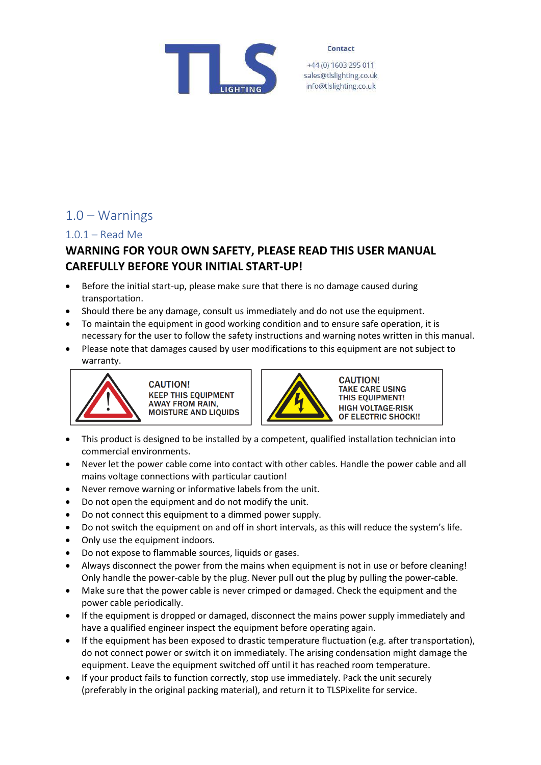

+44 (0) 1603 295 011 sales@tlslighting.co.uk info@tlslighting.co.uk

# <span id="page-2-0"></span>1.0 – Warnings

#### <span id="page-2-1"></span>1.0.1 – Read Me

## **WARNING FOR YOUR OWN SAFETY, PLEASE READ THIS USER MANUAL CAREFULLY BEFORE YOUR INITIAL START-UP!**

- Before the initial start-up, please make sure that there is no damage caused during transportation.
- Should there be any damage, consult us immediately and do not use the equipment.
- To maintain the equipment in good working condition and to ensure safe operation, it is necessary for the user to follow the safety instructions and warning notes written in this manual.
- Please note that damages caused by user modifications to this equipment are not subject to warranty.



**CAUTION! KEEP THIS EQUIPMENT AWAY FROM RAIN, MOISTURE AND LIQUIDS** 



**CAUTION! TAKE CARE USING** THIS EQUIPMENT! **HIGH VOLTAGE-RISK OF ELECTRIC SHOCK!!** 

- This product is designed to be installed by a competent, qualified installation technician into commercial environments.
- Never let the power cable come into contact with other cables. Handle the power cable and all mains voltage connections with particular caution!
- Never remove warning or informative labels from the unit.
- Do not open the equipment and do not modify the unit.
- Do not connect this equipment to a dimmed power supply.
- Do not switch the equipment on and off in short intervals, as this will reduce the system's life.
- Only use the equipment indoors.
- Do not expose to flammable sources, liquids or gases.
- Always disconnect the power from the mains when equipment is not in use or before cleaning! Only handle the power-cable by the plug. Never pull out the plug by pulling the power-cable.
- Make sure that the power cable is never crimped or damaged. Check the equipment and the power cable periodically.
- If the equipment is dropped or damaged, disconnect the mains power supply immediately and have a qualified engineer inspect the equipment before operating again.
- If the equipment has been exposed to drastic temperature fluctuation (e.g. after transportation), do not connect power or switch it on immediately. The arising condensation might damage the equipment. Leave the equipment switched off until it has reached room temperature.
- If your product fails to function correctly, stop use immediately. Pack the unit securely (preferably in the original packing material), and return it to TLSPixelite for service.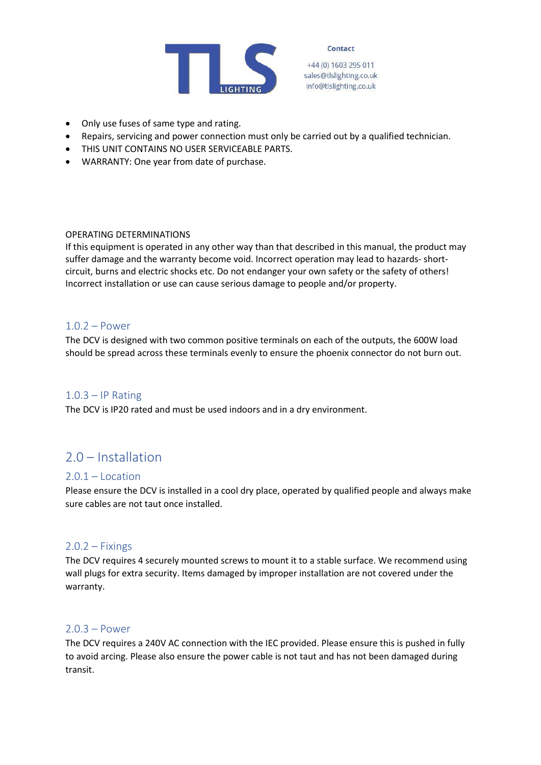

+44 (0) 1603 295 011 sales@tlslighting.co.uk info@tlslighting.co.uk

- Only use fuses of same type and rating.
- Repairs, servicing and power connection must only be carried out by a qualified technician.
- THIS UNIT CONTAINS NO USER SERVICEABLE PARTS.
- WARRANTY: One year from date of purchase.

#### OPERATING DETERMINATIONS

If this equipment is operated in any other way than that described in this manual, the product may suffer damage and the warranty become void. Incorrect operation may lead to hazards- shortcircuit, burns and electric shocks etc. Do not endanger your own safety or the safety of others! Incorrect installation or use can cause serious damage to people and/or property.

#### <span id="page-3-0"></span>1.0.2 – Power

The DCV is designed with two common positive terminals on each of the outputs, the 600W load should be spread across these terminals evenly to ensure the phoenix connector do not burn out.

#### <span id="page-3-1"></span> $1.0.3 - IP$  Rating

The DCV is IP20 rated and must be used indoors and in a dry environment.

# <span id="page-3-2"></span>2.0 – Installation

#### <span id="page-3-3"></span> $2.0.1 -$ Location

Please ensure the DCV is installed in a cool dry place, operated by qualified people and always make sure cables are not taut once installed.

#### <span id="page-3-4"></span> $2.0.2 - Fixings$

The DCV requires 4 securely mounted screws to mount it to a stable surface. We recommend using wall plugs for extra security. Items damaged by improper installation are not covered under the warranty.

#### <span id="page-3-5"></span> $2.0.3 - Power$

The DCV requires a 240V AC connection with the IEC provided. Please ensure this is pushed in fully to avoid arcing. Please also ensure the power cable is not taut and has not been damaged during transit.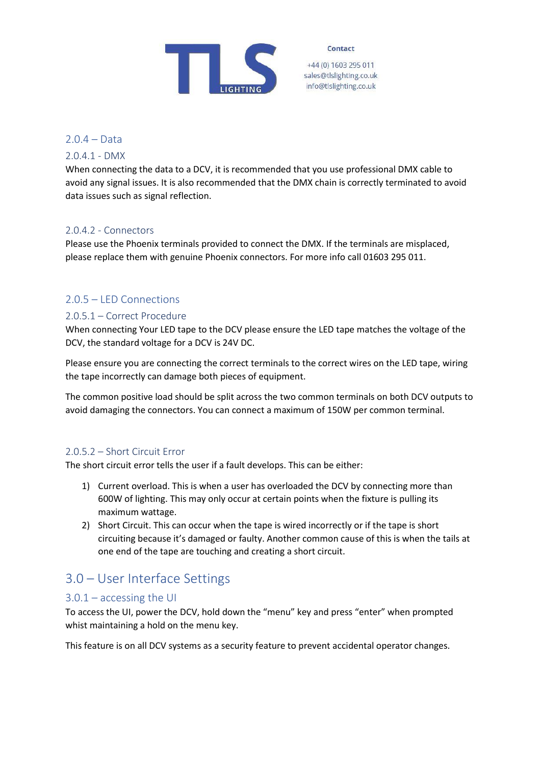

+44 (0) 1603 295 011 sales@tlslighting.co.uk info@tlslighting.co.uk

<span id="page-4-0"></span>2.0.4 – Data

<span id="page-4-1"></span>2.0.4.1 - DMX

When connecting the data to a DCV, it is recommended that you use professional DMX cable to avoid any signal issues. It is also recommended that the DMX chain is correctly terminated to avoid data issues such as signal reflection.

#### <span id="page-4-2"></span>2.0.4.2 - Connectors

Please use the Phoenix terminals provided to connect the DMX. If the terminals are misplaced, please replace them with genuine Phoenix connectors. For more info call 01603 295 011.

#### <span id="page-4-3"></span>2.0.5 – LED Connections

#### <span id="page-4-4"></span>2.0.5.1 – Correct Procedure

When connecting Your LED tape to the DCV please ensure the LED tape matches the voltage of the DCV, the standard voltage for a DCV is 24V DC.

Please ensure you are connecting the correct terminals to the correct wires on the LED tape, wiring the tape incorrectly can damage both pieces of equipment.

The common positive load should be split across the two common terminals on both DCV outputs to avoid damaging the connectors. You can connect a maximum of 150W per common terminal.

#### <span id="page-4-5"></span>2.0.5.2 – Short Circuit Error

The short circuit error tells the user if a fault develops. This can be either:

- 1) Current overload. This is when a user has overloaded the DCV by connecting more than 600W of lighting. This may only occur at certain points when the fixture is pulling its maximum wattage.
- 2) Short Circuit. This can occur when the tape is wired incorrectly or if the tape is short circuiting because it's damaged or faulty. Another common cause of this is when the tails at one end of the tape are touching and creating a short circuit.

# <span id="page-4-6"></span>3.0 – User Interface Settings

#### <span id="page-4-7"></span>3.0.1 – accessing the UI

To access the UI, power the DCV, hold down the "menu" key and press "enter" when prompted whist maintaining a hold on the menu key.

This feature is on all DCV systems as a security feature to prevent accidental operator changes.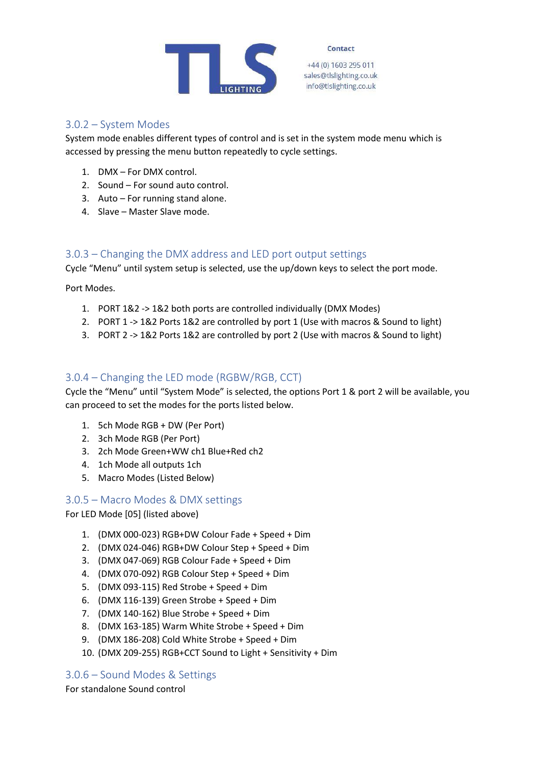

+44 (0) 1603 295 011 sales@tlslighting.co.uk info@tlslighting.co.uk

#### <span id="page-5-0"></span>3.0.2 – System Modes

System mode enables different types of control and is set in the system mode menu which is accessed by pressing the menu button repeatedly to cycle settings.

- 1. DMX For DMX control.
- 2. Sound For sound auto control.
- 3. Auto For running stand alone.
- 4. Slave Master Slave mode.

#### <span id="page-5-1"></span>3.0.3 – Changing the DMX address and LED port output settings

Cycle "Menu" until system setup is selected, use the up/down keys to select the port mode.

Port Modes.

- 1. PORT 1&2 -> 1&2 both ports are controlled individually (DMX Modes)
- 2. PORT 1 -> 1&2 Ports 1&2 are controlled by port 1 (Use with macros & Sound to light)
- 3. PORT 2 -> 1&2 Ports 1&2 are controlled by port 2 (Use with macros & Sound to light)

### <span id="page-5-2"></span>3.0.4 – Changing the LED mode (RGBW/RGB, CCT)

Cycle the "Menu" until "System Mode" is selected, the options Port 1 & port 2 will be available, you can proceed to set the modes for the ports listed below.

- 1. 5ch Mode RGB + DW (Per Port)
- 2. 3ch Mode RGB (Per Port)
- 3. 2ch Mode Green+WW ch1 Blue+Red ch2
- 4. 1ch Mode all outputs 1ch
- 5. Macro Modes (Listed Below)

<span id="page-5-3"></span>3.0.5 – Macro Modes & DMX settings

For LED Mode [05] (listed above)

- 1. (DMX 000-023) RGB+DW Colour Fade + Speed + Dim
- 2. (DMX 024-046) RGB+DW Colour Step + Speed + Dim
- 3. (DMX 047-069) RGB Colour Fade + Speed + Dim
- 4. (DMX 070-092) RGB Colour Step + Speed + Dim
- 5. (DMX 093-115) Red Strobe + Speed + Dim
- 6. (DMX 116-139) Green Strobe + Speed + Dim
- 7. (DMX 140-162) Blue Strobe + Speed + Dim
- 8. (DMX 163-185) Warm White Strobe + Speed + Dim
- 9. (DMX 186-208) Cold White Strobe + Speed + Dim
- 10. (DMX 209-255) RGB+CCT Sound to Light + Sensitivity + Dim

#### <span id="page-5-4"></span>3.0.6 – Sound Modes & Settings

For standalone Sound control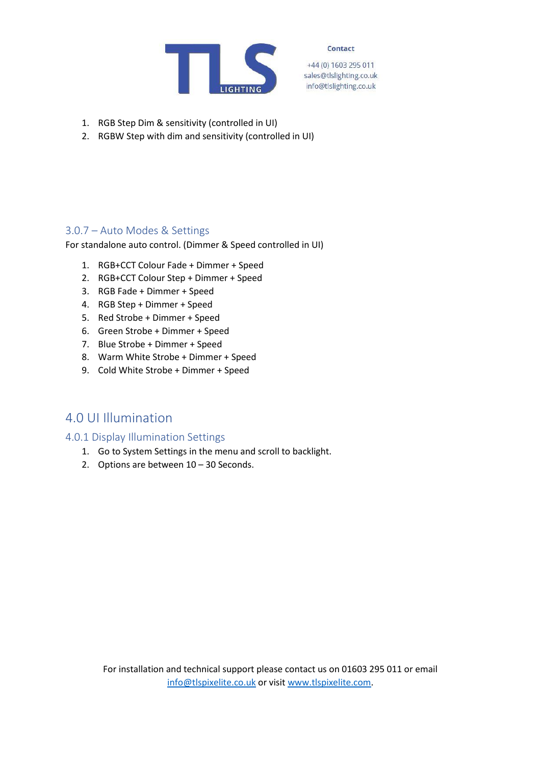

+44 (0) 1603 295 011 sales@tlslighting.co.uk info@tlslighting.co.uk

- 1. RGB Step Dim & sensitivity (controlled in UI)
- 2. RGBW Step with dim and sensitivity (controlled in UI)

#### <span id="page-6-0"></span>3.0.7 – Auto Modes & Settings

For standalone auto control. (Dimmer & Speed controlled in UI)

- 1. RGB+CCT Colour Fade + Dimmer + Speed
- 2. RGB+CCT Colour Step + Dimmer + Speed
- 3. RGB Fade + Dimmer + Speed
- 4. RGB Step + Dimmer + Speed
- 5. Red Strobe + Dimmer + Speed
- 6. Green Strobe + Dimmer + Speed
- 7. Blue Strobe + Dimmer + Speed
- 8. Warm White Strobe + Dimmer + Speed
- 9. Cold White Strobe + Dimmer + Speed

## <span id="page-6-1"></span>4.0 UI Illumination

#### <span id="page-6-2"></span>4.0.1 Display Illumination Settings

- 1. Go to System Settings in the menu and scroll to backlight.
- 2. Options are between 10 30 Seconds.